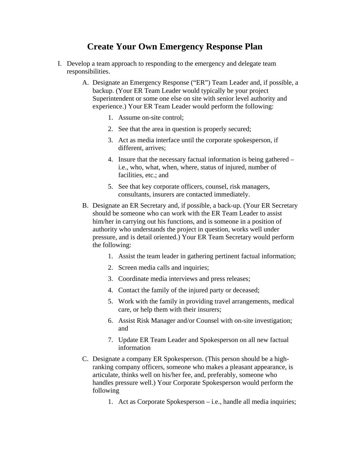## **Create Your Own Emergency Response Plan**

- I. Develop a team approach to responding to the emergency and delegate team responsibilities.
	- A. Designate an Emergency Response ("ER") Team Leader and, if possible, a backup. (Your ER Team Leader would typically be your project Superintendent or some one else on site with senior level authority and experience.) Your ER Team Leader would perform the following:
		- 1. Assume on-site control;
		- 2. See that the area in question is properly secured;
		- 3. Act as media interface until the corporate spokesperson, if different, arrives;
		- 4. Insure that the necessary factual information is being gathered i.e., who, what, when, where, status of injured, number of facilities, etc.; and
		- 5. See that key corporate officers, counsel, risk managers, consultants, insurers are contacted immediately.
	- B. Designate an ER Secretary and, if possible, a back-up. (Your ER Secretary should be someone who can work with the ER Team Leader to assist him/her in carrying out his functions, and is someone in a position of authority who understands the project in question, works well under pressure, and is detail oriented.) Your ER Team Secretary would perform the following:
		- 1. Assist the team leader in gathering pertinent factual information;
		- 2. Screen media calls and inquiries;
		- 3. Coordinate media interviews and press releases;
		- 4. Contact the family of the injured party or deceased;
		- 5. Work with the family in providing travel arrangements, medical care, or help them with their insurers;
		- 6. Assist Risk Manager and/or Counsel with on-site investigation; and
		- 7. Update ER Team Leader and Spokesperson on all new factual information
	- C. Designate a company ER Spokesperson. (This person should be a highranking company officers, someone who makes a pleasant appearance, is articulate, thinks well on his/her fee, and, preferably, someone who handles pressure well.) Your Corporate Spokesperson would perform the following
		- 1. Act as Corporate Spokesperson i.e., handle all media inquiries;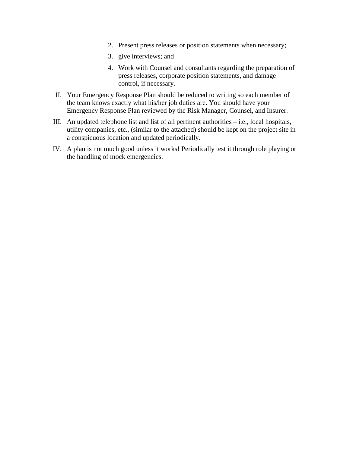- 2. Present press releases or position statements when necessary;
- 3. give interviews; and
- 4. Work with Counsel and consultants regarding the preparation of press releases, corporate position statements, and damage control, if necessary.
- II. Your Emergency Response Plan should be reduced to writing so each member of the team knows exactly what his/her job duties are. You should have your Emergency Response Plan reviewed by the Risk Manager, Counsel, and Insurer.
- III. An updated telephone list and list of all pertinent authorities i.e., local hospitals, utility companies, etc., (similar to the attached) should be kept on the project site in a conspicuous location and updated periodically.
- IV. A plan is not much good unless it works! Periodically test it through role playing or the handling of mock emergencies.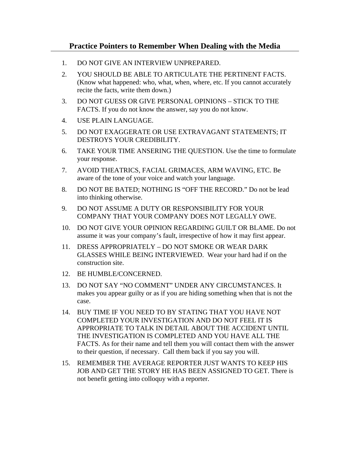- 1. DO NOT GIVE AN INTERVIEW UNPREPARED.
- 2. YOU SHOULD BE ABLE TO ARTICULATE THE PERTINENT FACTS. (Know what happened: who, what, when, where, etc. If you cannot accurately recite the facts, write them down.)
- 3. DO NOT GUESS OR GIVE PERSONAL OPINIONS STICK TO THE FACTS. If you do not know the answer, say you do not know.
- 4. USE PLAIN LANGUAGE.
- 5. DO NOT EXAGGERATE OR USE EXTRAVAGANT STATEMENTS; IT DESTROYS YOUR CREDIBILITY.
- 6. TAKE YOUR TIME ANSERING THE QUESTION. Use the time to formulate your response.
- 7. AVOID THEATRICS, FACIAL GRIMACES, ARM WAVING, ETC. Be aware of the tone of your voice and watch your language.
- 8. DO NOT BE BATED; NOTHING IS "OFF THE RECORD." Do not be lead into thinking otherwise.
- 9. DO NOT ASSUME A DUTY OR RESPONSIBILITY FOR YOUR COMPANY THAT YOUR COMPANY DOES NOT LEGALLY OWE.
- 10. DO NOT GIVE YOUR OPINION REGARDING GUILT OR BLAME. Do not assume it was your company's fault, irrespective of how it may first appear.
- 11. DRESS APPROPRIATELY DO NOT SMOKE OR WEAR DARK GLASSES WHILE BEING INTERVIEWED. Wear your hard had if on the construction site.
- 12. BE HUMBLE/CONCERNED.
- 13. DO NOT SAY "NO COMMENT" UNDER ANY CIRCUMSTANCES. It makes you appear guilty or as if you are hiding something when that is not the case.
- 14. BUY TIME IF YOU NEED TO BY STATING THAT YOU HAVE NOT COMPLETED YOUR INVESTIGATION AND DO NOT FEEL IT IS APPROPRIATE TO TALK IN DETAIL ABOUT THE ACCIDENT UNTIL THE INVESTIGATION IS COMPLETED AND YOU HAVE ALL THE FACTS. As for their name and tell them you will contact them with the answer to their question, if necessary. Call them back if you say you will.
- 15. REMEMBER THE AVERAGE REPORTER JUST WANTS TO KEEP HIS JOB AND GET THE STORY HE HAS BEEN ASSIGNED TO GET. There is not benefit getting into colloquy with a reporter.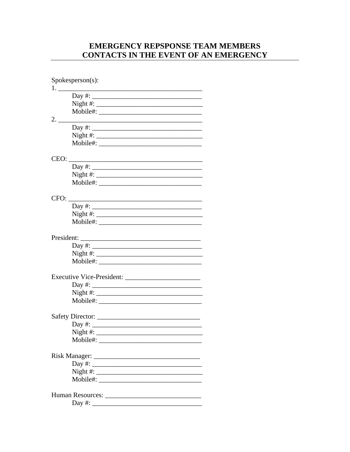## **EMERGENCY REPSPONSE TEAM MEMBERS** CONTACTS IN THE EVENT OF AN EMERGENCY

|            | $Spokesperson(s)$ :                                                                                                                                                                                                                                                                                                |
|------------|--------------------------------------------------------------------------------------------------------------------------------------------------------------------------------------------------------------------------------------------------------------------------------------------------------------------|
|            |                                                                                                                                                                                                                                                                                                                    |
|            | Day $\#$ :                                                                                                                                                                                                                                                                                                         |
|            | Night #: $\frac{1}{2}$ $\frac{1}{2}$ $\frac{1}{2}$ $\frac{1}{2}$ $\frac{1}{2}$ $\frac{1}{2}$ $\frac{1}{2}$ $\frac{1}{2}$ $\frac{1}{2}$ $\frac{1}{2}$ $\frac{1}{2}$ $\frac{1}{2}$ $\frac{1}{2}$ $\frac{1}{2}$ $\frac{1}{2}$ $\frac{1}{2}$ $\frac{1}{2}$ $\frac{1}{2}$ $\frac{1}{2}$ $\frac{1}{2}$ $\frac{1}{2}$ $\$ |
|            |                                                                                                                                                                                                                                                                                                                    |
| 2.         |                                                                                                                                                                                                                                                                                                                    |
|            |                                                                                                                                                                                                                                                                                                                    |
|            |                                                                                                                                                                                                                                                                                                                    |
|            |                                                                                                                                                                                                                                                                                                                    |
| CEO:       |                                                                                                                                                                                                                                                                                                                    |
|            | Day #: $\frac{1}{2}$ = 0.000 $\frac{1}{2}$ = 0.000 $\frac{1}{2}$ = 0.000 $\frac{1}{2}$ = 0.000 $\frac{1}{2}$ = 0.000 $\frac{1}{2}$ = 0.000 $\frac{1}{2}$ = 0.000 $\frac{1}{2}$ = 0.000 $\frac{1}{2}$ = 0.000 $\frac{1}{2}$ = 0.000 $\frac{1}{2}$ = 0.000 $\frac{1}{2}$ = 0.00                                      |
|            |                                                                                                                                                                                                                                                                                                                    |
|            |                                                                                                                                                                                                                                                                                                                    |
| CFO:       |                                                                                                                                                                                                                                                                                                                    |
|            | $Day \#:$                                                                                                                                                                                                                                                                                                          |
|            |                                                                                                                                                                                                                                                                                                                    |
|            |                                                                                                                                                                                                                                                                                                                    |
| President: | <u> 1989 - Jan Samuel Barbara, margaret eta idazlea (h. 1982).</u>                                                                                                                                                                                                                                                 |
|            | Day #:                                                                                                                                                                                                                                                                                                             |
|            |                                                                                                                                                                                                                                                                                                                    |
|            |                                                                                                                                                                                                                                                                                                                    |
|            |                                                                                                                                                                                                                                                                                                                    |
|            | $Day \#:$                                                                                                                                                                                                                                                                                                          |
|            |                                                                                                                                                                                                                                                                                                                    |
|            |                                                                                                                                                                                                                                                                                                                    |
|            |                                                                                                                                                                                                                                                                                                                    |
|            |                                                                                                                                                                                                                                                                                                                    |
|            |                                                                                                                                                                                                                                                                                                                    |
|            |                                                                                                                                                                                                                                                                                                                    |
|            |                                                                                                                                                                                                                                                                                                                    |
|            |                                                                                                                                                                                                                                                                                                                    |
|            |                                                                                                                                                                                                                                                                                                                    |
|            |                                                                                                                                                                                                                                                                                                                    |
|            |                                                                                                                                                                                                                                                                                                                    |
|            |                                                                                                                                                                                                                                                                                                                    |